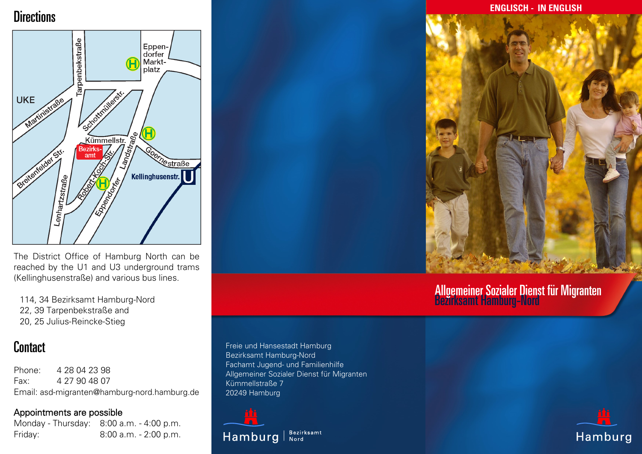### **Directions**



The District Office of Hamburg North can be reached by the U1 and U3 underground trams (Kellinghusenstraße) and various bus lines.

114, 34 Bezirksamt Hamburg-Nord 22, 39 Tarpenbekstraße and 20, 25 Julius-Reincke-Stieg

### **Contact**

Phone: 4 28 04 23 98 Fax: 4 27 90 48 07 Email: asd-migranten@hamburg-nord.hamburg.de

#### Appointments are possible

Monday - Thursday: 8:00 a.m. - 4:00 p.m. Friday: 8:00 a.m. - 2:00 p.m.

**Hamburg** 

**ENGLISCH - IN ENGLISH**



# Allgemeiner Sozialer Dienst für Migranten<br>Bezirksamt Hamburg-Nord



Freie und Hansestadt Hamburg Bezirksamt Hamburg-Nord Fachamt Jugend- und Familienhilfe Allgemeiner Sozialer Dienst für Migranten Kümmellstraße 7 20249 Hamburg

Bezirksamt<br>Nord